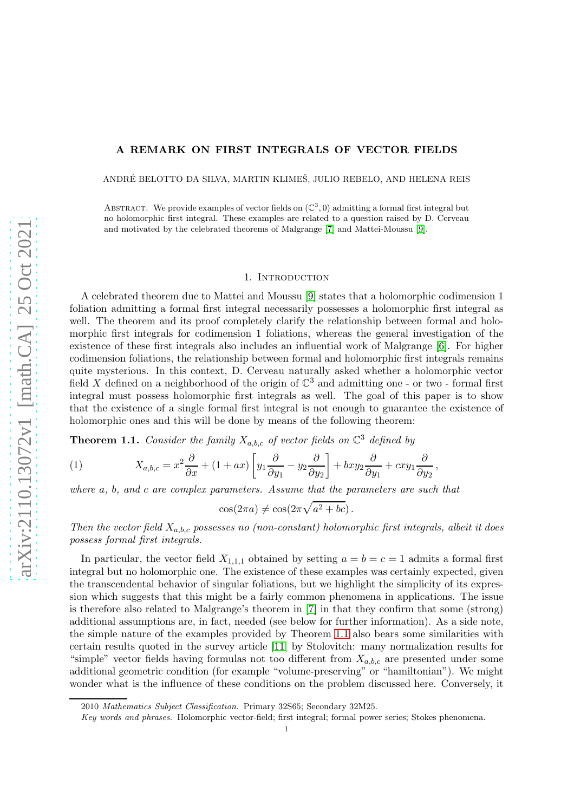## A REMARK ON FIRST INTEGRALS OF VECTOR FIELDS

ANDRÉ BELOTTO DA SILVA, MARTIN KLIMEŠ, JULIO REBELO, AND HELENA REIS

ABSTRACT. We provide examples of vector fields on  $(\mathbb{C}^3, 0)$  admitting a formal first integral but no holomorphic first integral. These examples are related to a question raised by D. Cerveau and motivated by the celebrated theorems of Malgrange [\[7\]](#page-5-0) and Mattei-Moussu [\[9\]](#page-5-1).

## 1. INTRODUCTION

A celebrated theorem due to Mattei and Moussu [\[9\]](#page-5-1) states that a holomorphic codimension 1 foliation admitting a formal first integral necessarily possesses a holomorphic first integral as well. The theorem and its proof completely clarify the relationship between formal and holomorphic first integrals for codimension 1 foliations, whereas the general investigation of the existence of these first integrals also includes an influential work of Malgrange [\[6\]](#page-5-2). For higher codimension foliations, the relationship between formal and holomorphic first integrals remains quite mysterious. In this context, D. Cerveau naturally asked whether a holomorphic vector field X defined on a neighborhood of the origin of  $\mathbb{C}^3$  and admitting one - or two - formal first integral must possess holomorphic first integrals as well. The goal of this paper is to show that the existence of a single formal first integral is not enough to guarantee the existence of holomorphic ones and this will be done by means of the following theorem:

<span id="page-0-0"></span>**Theorem 1.1.** Consider the family  $X_{a,b,c}$  of vector fields on  $\mathbb{C}^3$  defined by

<span id="page-0-1"></span>(1) 
$$
X_{a,b,c} = x^2 \frac{\partial}{\partial x} + (1 + ax) \left[ y_1 \frac{\partial}{\partial y_1} - y_2 \frac{\partial}{\partial y_2} \right] + bxy_2 \frac{\partial}{\partial y_1} + cxy_1 \frac{\partial}{\partial y_2},
$$

where  $a, b, and c$  are complex parameters. Assume that the parameters are such that

$$
\cos(2\pi a) \neq \cos(2\pi\sqrt{a^2 + bc}).
$$

Then the vector field  $X_{a,b,c}$  possesses no (non-constant) holomorphic first integrals, albeit it does possess formal first integrals.

In particular, the vector field  $X_{1,1,1}$  obtained by setting  $a = b = c = 1$  admits a formal first integral but no holomorphic one. The existence of these examples was certainly expected, given the transcendental behavior of singular foliations, but we highlight the simplicity of its expression which suggests that this might be a fairly common phenomena in applications. The issue is therefore also related to Malgrange's theorem in [\[7\]](#page-5-0) in that they confirm that some (strong) additional assumptions are, in fact, needed (see below for further information). As a side note, the simple nature of the examples provided by Theorem [1.1](#page-0-0) also bears some similarities with certain results quoted in the survey article [\[11\]](#page-6-0) by Stolovitch: many normalization results for "simple" vector fields having formulas not too different from  $X_{a,b,c}$  are presented under some additional geometric condition (for example "volume-preserving" or "hamiltonian"). We might wonder what is the influence of these conditions on the problem discussed here. Conversely, it

<sup>2010</sup> Mathematics Subject Classification. Primary 32S65; Secondary 32M25.

Key words and phrases. Holomorphic vector-field; first integral; formal power series; Stokes phenomena.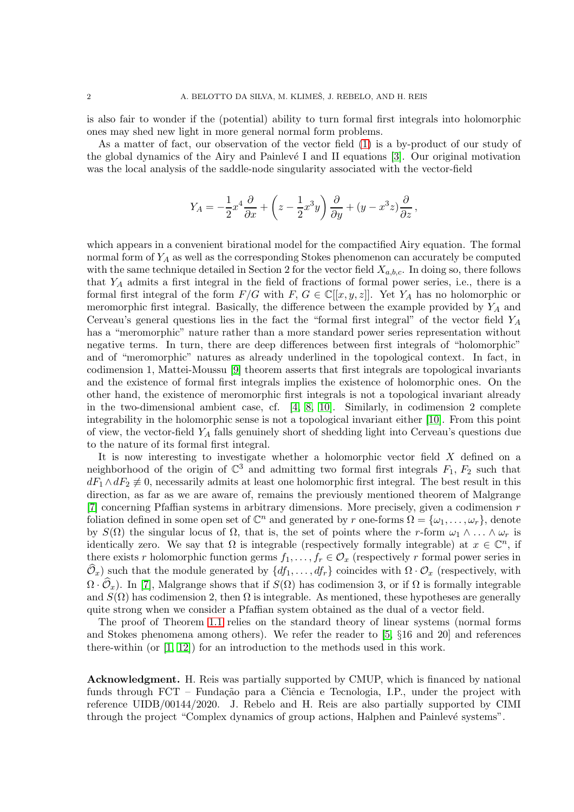is also fair to wonder if the (potential) ability to turn formal first integrals into holomorphic ones may shed new light in more general normal form problems.

As a matter of fact, our observation of the vector field [\(1\)](#page-0-1) is a by-product of our study of the global dynamics of the Airy and Painlevé I and II equations  $[3]$ . Our original motivation was the local analysis of the saddle-node singularity associated with the vector-field

$$
Y_A = -\frac{1}{2}x^4\frac{\partial}{\partial x} + \left(z - \frac{1}{2}x^3y\right)\frac{\partial}{\partial y} + (y - x^3z)\frac{\partial}{\partial z},
$$

which appears in a convenient birational model for the compactified Airy equation. The formal normal form of  $Y_A$  as well as the corresponding Stokes phenomenon can accurately be computed with the same technique detailed in Section 2 for the vector field  $X_{a,b,c}$ . In doing so, there follows that  $Y_A$  admits a first integral in the field of fractions of formal power series, i.e., there is a formal first integral of the form  $F/G$  with  $F, G \in \mathbb{C}[[x, y, z]]$ . Yet  $Y_A$  has no holomorphic or meromorphic first integral. Basically, the difference between the example provided by  $Y_A$  and Cerveau's general questions lies in the fact the "formal first integral" of the vector field  $Y_A$ has a "meromorphic" nature rather than a more standard power series representation without negative terms. In turn, there are deep differences between first integrals of "holomorphic" and of "meromorphic" natures as already underlined in the topological context. In fact, in codimension 1, Mattei-Moussu [\[9\]](#page-5-1) theorem asserts that first integrals are topological invariants and the existence of formal first integrals implies the existence of holomorphic ones. On the other hand, the existence of meromorphic first integrals is not a topological invariant already in the two-dimensional ambient case, cf. [\[4,](#page-5-4) [8,](#page-5-5) [10\]](#page-6-1). Similarly, in codimension 2 complete integrability in the holomorphic sense is not a topological invariant either [\[10\]](#page-6-1). From this point of view, the vector-field Y<sup>A</sup> falls genuinely short of shedding light into Cerveau's questions due to the nature of its formal first integral.

It is now interesting to investigate whether a holomorphic vector field X defined on a neighborhood of the origin of  $\mathbb{C}^3$  and admitting two formal first integrals  $F_1, F_2$  such that  $dF_1 \wedge dF_2 \neq 0$ , necessarily admits at least one holomorphic first integral. The best result in this direction, as far as we are aware of, remains the previously mentioned theorem of Malgrange [\[7\]](#page-5-0) concerning Pfaffian systems in arbitrary dimensions. More precisely, given a codimension r foliation defined in some open set of  $\mathbb{C}^n$  and generated by r one-forms  $\Omega = {\omega_1, \dots, \omega_r}$ , denote by  $S(\Omega)$  the singular locus of  $\Omega$ , that is, the set of points where the r-form  $\omega_1 \wedge \ldots \wedge \omega_r$  is identically zero. We say that  $\Omega$  is integrable (respectively formally integrable) at  $x \in \mathbb{C}^n$ , if there exists r holomorphic function germs  $f_1, \ldots, f_r \in \mathcal{O}_x$  (respectively r formal power series in  $\mathcal{O}_x$ ) such that the module generated by  $\{df_1, \ldots, df_r\}$  coincides with  $\Omega \cdot \mathcal{O}_x$  (respectively, with  $\Omega \cdot \widehat{\mathcal{O}}_x$ ). In [\[7\]](#page-5-0), Malgrange shows that if  $S(\Omega)$  has codimension 3, or if  $\Omega$  is formally integrable and  $S(\Omega)$  has codimension 2, then  $\Omega$  is integrable. As mentioned, these hypotheses are generally quite strong when we consider a Pfaffian system obtained as the dual of a vector field.

The proof of Theorem [1.1](#page-0-0) relies on the standard theory of linear systems (normal forms and Stokes phenomena among others). We refer the reader to [\[5,](#page-5-6) §16 and 20] and references there-within (or [\[1,](#page-5-7) [12\]](#page-6-2)) for an introduction to the methods used in this work.

Acknowledgment. H. Reis was partially supported by CMUP, which is financed by national funds through FCT – Fundação para a Ciência e Tecnologia, I.P., under the project with reference UIDB/00144/2020. J. Rebelo and H. Reis are also partially supported by CIMI through the project "Complex dynamics of group actions, Halphen and Painlevé systems".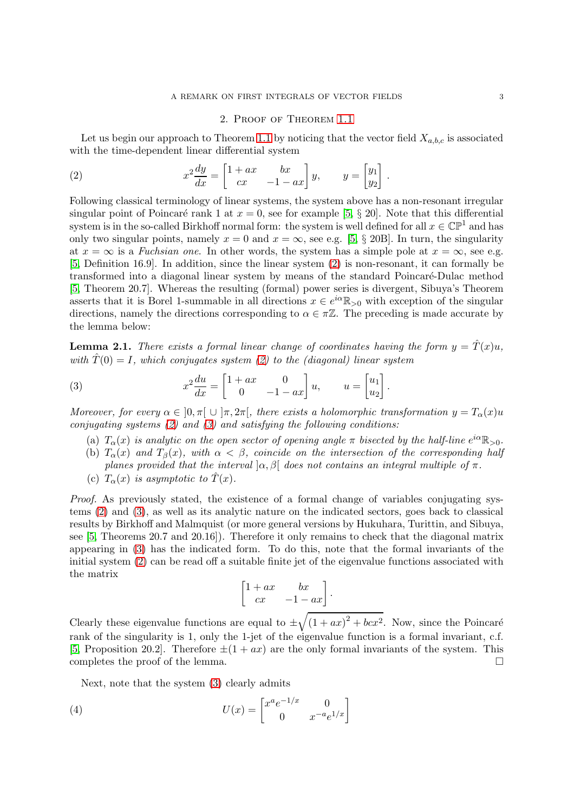## <span id="page-2-0"></span>2. Proof of Theorem [1.1](#page-0-0)

Let us begin our approach to Theorem [1.1](#page-0-0) by noticing that the vector field  $X_{a,b,c}$  is associated with the time-dependent linear differential system

(2) 
$$
x^{2} \frac{dy}{dx} = \begin{bmatrix} 1+ax & bx \\ cx & -1-ax \end{bmatrix} y, \qquad y = \begin{bmatrix} y_{1} \\ y_{2} \end{bmatrix}.
$$

Following classical terminology of linear systems, the system above has a non-resonant irregular singular point of Poincaré rank 1 at  $x = 0$ , see for example [\[5,](#page-5-6) § 20]. Note that this differential system is in the so-called Birkhoff normal form: the system is well defined for all  $x \in \mathbb{CP}^1$  and has only two singular points, namely  $x = 0$  and  $x = \infty$ , see e.g. [\[5,](#page-5-6) § 20B]. In turn, the singularity at  $x = \infty$  is a Fuchsian one. In other words, the system has a simple pole at  $x = \infty$ , see e.g. [\[5,](#page-5-6) Definition 16.9]. In addition, since the linear system [\(2\)](#page-2-0) is non-resonant, it can formally be transformed into a diagonal linear system by means of the standard Poincaré-Dulac method [\[5,](#page-5-6) Theorem 20.7]. Whereas the resulting (formal) power series is divergent, Sibuya's Theorem asserts that it is Borel 1-summable in all directions  $x \in e^{i\alpha} \mathbb{R}_{>0}$  with exception of the singular directions, namely the directions corresponding to  $\alpha \in \pi \mathbb{Z}$ . The preceding is made accurate by the lemma below:

<span id="page-2-3"></span>**Lemma 2.1.** There exists a formal linear change of coordinates having the form  $y = \hat{T}(x)u$ , with  $\hat{T}(0) = I$ , which conjugates system [\(2\)](#page-2-0) to the (diagonal) linear system

(3) 
$$
x^{2} \frac{du}{dx} = \begin{bmatrix} 1+ax & 0 \\ 0 & -1-ax \end{bmatrix} u, \qquad u = \begin{bmatrix} u_{1} \\ u_{2} \end{bmatrix}.
$$

Moreover, for every  $\alpha \in [0, \pi] \cup [\pi, 2\pi]$ , there exists a holomorphic transformation  $y = T_{\alpha}(x)u$ conjugating systems  $(2)$  and  $(3)$  and satisfying the following conditions:

- <span id="page-2-1"></span>(a)  $T_{\alpha}(x)$  is analytic on the open sector of opening angle  $\pi$  bisected by the half-line  $e^{i\alpha} \mathbb{R}_{>0}$ .
- (b)  $T_{\alpha}(x)$  and  $T_{\beta}(x)$ , with  $\alpha < \beta$ , coincide on the intersection of the corresponding half planes provided that the interval  $\alpha$ ,  $\beta$ [ does not contains an integral multiple of  $\pi$ .
- (c)  $T_{\alpha}(x)$  is asymptotic to  $\hat{T}(x)$ .

Proof. As previously stated, the existence of a formal change of variables conjugating systems [\(2\)](#page-2-0) and [\(3\)](#page-2-1), as well as its analytic nature on the indicated sectors, goes back to classical results by Birkhoff and Malmquist (or more general versions by Hukuhara, Turittin, and Sibuya, see [\[5,](#page-5-6) Theorems 20.7 and 20.16]). Therefore it only remains to check that the diagonal matrix appearing in [\(3\)](#page-2-1) has the indicated form. To do this, note that the formal invariants of the initial system [\(2\)](#page-2-0) can be read off a suitable finite jet of the eigenvalue functions associated with the matrix

<span id="page-2-2"></span>
$$
\begin{bmatrix} 1+ax & bx \ cx & -1-ax \end{bmatrix}.
$$

Clearly these eigenvalue functions are equal to  $\pm \sqrt{(1 + ax)^2 + bcx^2}$ . Now, since the Poincaré rank of the singularity is 1, only the 1-jet of the eigenvalue function is a formal invariant, c.f. [\[5,](#page-5-6) Proposition 20.2]. Therefore  $\pm(1+ax)$  are the only formal invariants of the system. This completes the proof of the lemma completes the proof of the lemma.

Next, note that the system [\(3\)](#page-2-1) clearly admits

(4) 
$$
U(x) = \begin{bmatrix} x^a e^{-1/x} & 0\\ 0 & x^{-a} e^{1/x} \end{bmatrix}
$$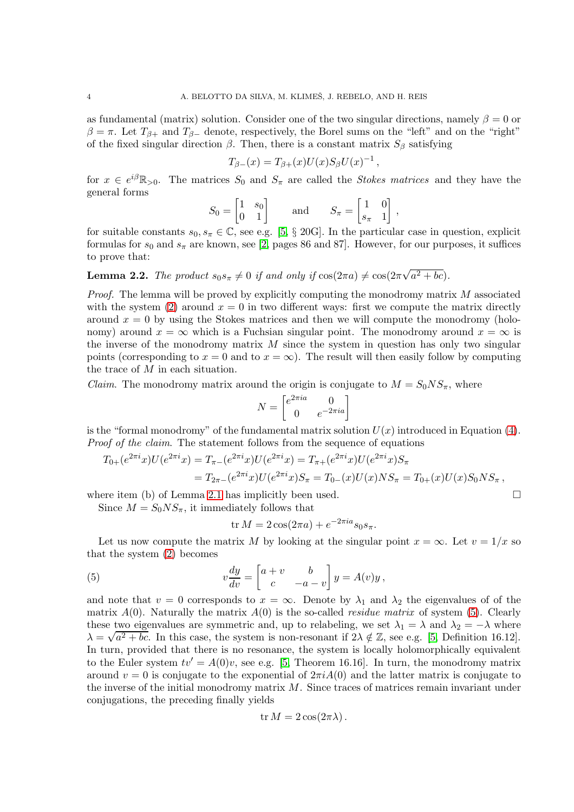as fundamental (matrix) solution. Consider one of the two singular directions, namely  $\beta = 0$  or  $\beta = \pi$ . Let  $T_{\beta+}$  and  $T_{\beta-}$  denote, respectively, the Borel sums on the "left" and on the "right" of the fixed singular direction  $\beta$ . Then, there is a constant matrix  $S_{\beta}$  satisfying

$$
T_{\beta-}(x) = T_{\beta+}(x)U(x)S_{\beta}U(x)^{-1},
$$

for  $x \in e^{i\beta} \mathbb{R}_{>0}$ . The matrices  $S_0$  and  $S_\pi$  are called the *Stokes matrices* and they have the general forms

$$
S_0 = \begin{bmatrix} 1 & s_0 \\ 0 & 1 \end{bmatrix} \qquad \text{and} \qquad S_\pi = \begin{bmatrix} 1 & 0 \\ s_\pi & 1 \end{bmatrix}
$$

,

for suitable constants  $s_0, s_\pi \in \mathbb{C}$ , see e.g. [\[5,](#page-5-6) § 20G]. In the particular case in question, explicit formulas for  $s_0$  and  $s_\pi$  are known, see [\[2,](#page-5-8) pages 86 and 87]. However, for our purposes, it suffices to prove that:

<span id="page-3-1"></span>**Lemma 2.2.** The product  $s_0 s_{\pi} \neq 0$  if and only if  $\cos(2\pi a) \neq \cos(2\pi \sqrt{a^2 + bc})$ .

*Proof.* The lemma will be proved by explicitly computing the monodromy matrix  $M$  associated with the system [\(2\)](#page-2-0) around  $x = 0$  in two different ways: first we compute the matrix directly around  $x = 0$  by using the Stokes matrices and then we will compute the monodromy (holonomy) around  $x = \infty$  which is a Fuchsian singular point. The monodromy around  $x = \infty$  is the inverse of the monodromy matrix  $M$  since the system in question has only two singular points (corresponding to  $x = 0$  and to  $x = \infty$ ). The result will then easily follow by computing the trace of M in each situation.

*Claim.* The monodromy matrix around the origin is conjugate to  $M = S_0 N S_{\pi}$ , where

$$
N = \begin{bmatrix} e^{2\pi i a} & 0\\ 0 & e^{-2\pi i a} \end{bmatrix}
$$

is the "formal monodromy" of the fundamental matrix solution  $U(x)$  introduced in Equation [\(4\)](#page-2-2). Proof of the claim. The statement follows from the sequence of equations

$$
T_{0+}(e^{2\pi i}x)U(e^{2\pi i}x) = T_{\pi-}(e^{2\pi i}x)U(e^{2\pi i}x) = T_{\pi+}(e^{2\pi i}x)U(e^{2\pi i}x)S_{\pi}
$$
  
= 
$$
T_{2\pi-}(e^{2\pi i}x)U(e^{2\pi i}x)S_{\pi} = T_{0-}(x)U(x)NS_{\pi} = T_{0+}(x)U(x)S_0NS_{\pi},
$$

where item (b) of Lemma [2.1](#page-2-3) has implicitly been used.  $\Box$ 

Since  $M = S_0 N S_{\pi}$ , it immediately follows that

<span id="page-3-0"></span>
$$
\operatorname{tr} M = 2\cos(2\pi a) + e^{-2\pi i a} s_0 s_\pi.
$$

Let us now compute the matrix M by looking at the singular point  $x = \infty$ . Let  $v = 1/x$  so that the system [\(2\)](#page-2-0) becomes

(5) 
$$
v\frac{dy}{dv} = \begin{bmatrix} a+v & b \\ c & -a-v \end{bmatrix} y = A(v)y,
$$

and note that  $v = 0$  corresponds to  $x = \infty$ . Denote by  $\lambda_1$  and  $\lambda_2$  the eigenvalues of of the matrix  $A(0)$ . Naturally the matrix  $A(0)$  is the so-called *residue matrix* of system [\(5\)](#page-3-0). Clearly these two eigenvalues are symmetric and, up to relabeling, we set  $\lambda_1 = \lambda$  and  $\lambda_2 = -\lambda$  where  $\lambda = \sqrt{a^2 + bc}$ . In this case, the system is non-resonant if  $2\lambda \notin \mathbb{Z}$ , see e.g. [\[5,](#page-5-6) Definition 16.12]. In turn, provided that there is no resonance, the system is locally holomorphically equivalent to the Euler system  $tv' = A(0)v$ , see e.g. [\[5,](#page-5-6) Theorem 16.16]. In turn, the monodromy matrix around  $v = 0$  is conjugate to the exponential of  $2\pi i A(0)$  and the latter matrix is conjugate to the inverse of the initial monodromy matrix  $M$ . Since traces of matrices remain invariant under conjugations, the preceding finally yields

$$
\operatorname{tr} M = 2\cos(2\pi\lambda).
$$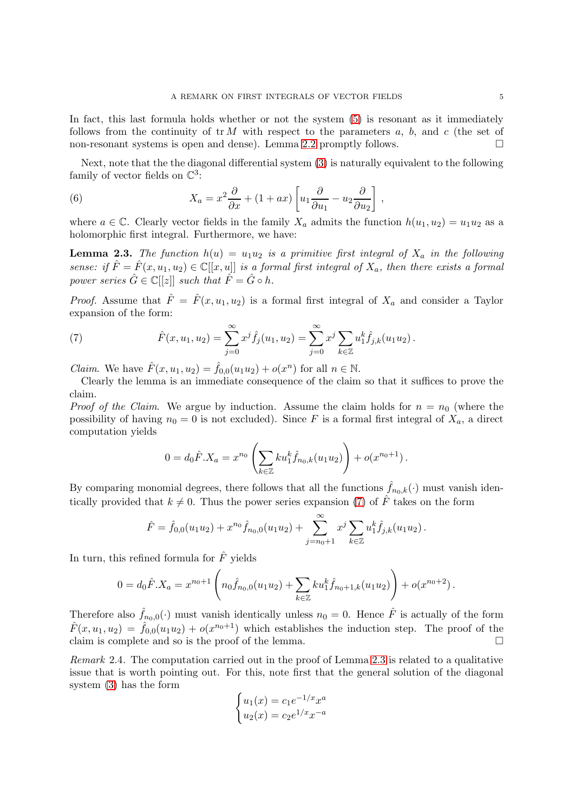In fact, this last formula holds whether or not the system [\(5\)](#page-3-0) is resonant as it immediately follows from the continuity of  $\text{tr } M$  with respect to the parameters a, b, and c (the set of non-resonant systems is open and dense). Lemma [2.2](#page-3-1) promptly follows.  $\Box$ 

Next, note that the the diagonal differential system [\(3\)](#page-2-1) is naturally equivalent to the following family of vector fields on  $\mathbb{C}^3$ :

(6) 
$$
X_a = x^2 \frac{\partial}{\partial x} + (1 + ax) \left[ u_1 \frac{\partial}{\partial u_1} - u_2 \frac{\partial}{\partial u_2} \right],
$$

where  $a \in \mathbb{C}$ . Clearly vector fields in the family  $X_a$  admits the function  $h(u_1, u_2) = u_1u_2$  as a holomorphic first integral. Furthermore, we have:

<span id="page-4-1"></span>**Lemma 2.3.** The function  $h(u) = u_1u_2$  is a primitive first integral of  $X_a$  in the following sense: if  $\hat{F} = \hat{F}(x, u_1, u_2) \in \mathbb{C}[[x, u]]$  is a formal first integral of  $X_a$ , then there exists a formal power series  $\hat{G} \in \mathbb{C}[[z]]$  such that  $\hat{F} = \hat{G} \circ h$ .

*Proof.* Assume that  $\hat{F} = \hat{F}(x, u_1, u_2)$  is a formal first integral of  $X_a$  and consider a Taylor expansion of the form:

<span id="page-4-0"></span>(7) 
$$
\hat{F}(x, u_1, u_2) = \sum_{j=0}^{\infty} x^j \hat{f}_j(u_1, u_2) = \sum_{j=0}^{\infty} x^j \sum_{k \in \mathbb{Z}} u_1^k \hat{f}_{j,k}(u_1 u_2).
$$

*Claim.* We have  $\hat{F}(x, u_1, u_2) = \hat{f}_{0,0}(u_1 u_2) + o(x^n)$  for all  $n \in \mathbb{N}$ .

Clearly the lemma is an immediate consequence of the claim so that it suffices to prove the claim.

*Proof of the Claim.* We argue by induction. Assume the claim holds for  $n = n_0$  (where the possibility of having  $n_0 = 0$  is not excluded). Since F is a formal first integral of  $X_a$ , a direct computation yields

$$
0 = d_0 \hat{F} \cdot X_a = x^{n_0} \left( \sum_{k \in \mathbb{Z}} k u_1^k \hat{f}_{n_0,k}(u_1 u_2) \right) + o(x^{n_0+1}).
$$

By comparing monomial degrees, there follows that all the functions  $\hat{f}_{n_0,k}(\cdot)$  must vanish identically provided that  $k \neq 0$ . Thus the power series expansion [\(7\)](#page-4-0) of  $\hat{F}$  takes on the form

$$
\hat{F} = \hat{f}_{0,0}(u_1u_2) + x^{n_0} \hat{f}_{n_0,0}(u_1u_2) + \sum_{j=n_0+1}^{\infty} x^j \sum_{k \in \mathbb{Z}} u_1^k \hat{f}_{j,k}(u_1u_2).
$$

In turn, this refined formula for  $\hat{F}$  yields

$$
0 = d_0 \hat{F} \cdot X_a = x^{n_0+1} \left( n_0 \hat{f}_{n_0,0}(u_1 u_2) + \sum_{k \in \mathbb{Z}} k u_1^k \hat{f}_{n_0+1,k}(u_1 u_2) \right) + o(x^{n_0+2}).
$$

Therefore also  $\hat{f}_{n_0,0}(\cdot)$  must vanish identically unless  $n_0 = 0$ . Hence  $\hat{F}$  is actually of the form  $\hat{F}(x, u_1, u_2) = \hat{f}_{0,0}(u_1 u_2) + o(x^{n_0+1})$  which establishes the induction step. The proof of the claim is complete and so is the proof of the lemma.

Remark 2.4. The computation carried out in the proof of Lemma [2.3](#page-4-1) is related to a qualitative issue that is worth pointing out. For this, note first that the general solution of the diagonal system [\(3\)](#page-2-1) has the form

$$
\begin{cases} u_1(x) = c_1 e^{-1/x} x^a \\ u_2(x) = c_2 e^{1/x} x^{-a} \end{cases}
$$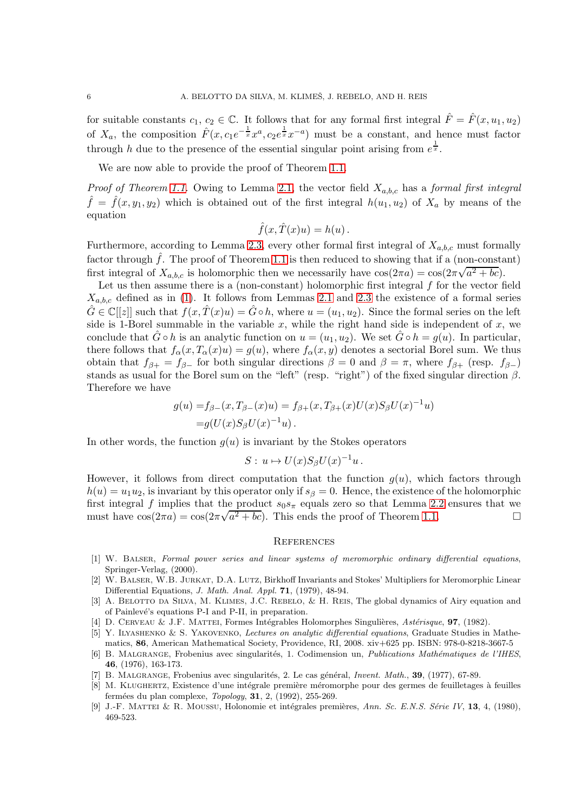for suitable constants  $c_1, c_2 \in \mathbb{C}$ . It follows that for any formal first integral  $\hat{F} = \hat{F}(x, u_1, u_2)$ of  $X_a$ , the composition  $F(x, c_1e^{-\frac{1}{x}}x^a, c_2e^{\frac{1}{x}}x^{-a})$  must be a constant, and hence must factor through h due to the presence of the essential singular point arising from  $e^{\frac{1}{x}}$ .

We are now able to provide the proof of Theorem [1.1.](#page-0-0)

*Proof of Theorem [1.1.](#page-0-0)* Owing to Lemma [2.1,](#page-2-3) the vector field  $X_{a,b,c}$  has a formal first integral  $\hat{f} = \hat{f}(x, y_1, y_2)$  which is obtained out of the first integral  $h(u_1, u_2)$  of  $X_a$  by means of the equation

$$
\hat{f}(x, \hat{T}(x)u) = h(u) .
$$

Furthermore, according to Lemma [2.3,](#page-4-1) every other formal first integral of  $X_{a,b,c}$  must formally factor through  $\ddot{f}$ . The proof of Theorem [1.1](#page-0-0) is then reduced to showing that if a (non-constant) first integral of  $X_{a,b,c}$  is holomorphic then we necessarily have  $cos(2\pi a) = cos(2\pi\sqrt{a^2 + bc})$ .

Let us then assume there is a (non-constant) holomorphic first integral  $f$  for the vector field  $X_{a,b,c}$  defined as in [\(1\)](#page-0-1). It follows from Lemmas [2.1](#page-2-3) and [2.3](#page-4-1) the existence of a formal series  $\hat{G} \in \mathbb{C}[[z]]$  such that  $f(x, \hat{T}(x)u) = \hat{G} \circ h$ , where  $u = (u_1, u_2)$ . Since the formal series on the left side is 1-Borel summable in the variable  $x$ , while the right hand side is independent of  $x$ , we conclude that  $\hat{G} \circ h$  is an analytic function on  $u = (u_1, u_2)$ . We set  $\hat{G} \circ h = g(u)$ . In particular, there follows that  $f_{\alpha}(x,T_{\alpha}(x)u) = g(u)$ , where  $f_{\alpha}(x,y)$  denotes a sectorial Borel sum. We thus obtain that  $f_{\beta+} = f_{\beta-}$  for both singular directions  $\beta = 0$  and  $\beta = \pi$ , where  $f_{\beta+}$  (resp.  $f_{\beta-}$ ) stands as usual for the Borel sum on the "left" (resp. "right") of the fixed singular direction  $\beta$ . Therefore we have

$$
g(u) = f_{\beta-}(x, T_{\beta-}(x)u) = f_{\beta+}(x, T_{\beta+}(x)U(x)S_{\beta}U(x)^{-1}u)
$$
  
=  $g(U(x)S_{\beta}U(x)^{-1}u)$ .

In other words, the function  $g(u)$  is invariant by the Stokes operators

$$
S: u \mapsto U(x)S_{\beta}U(x)^{-1}u.
$$

However, it follows from direct computation that the function  $g(u)$ , which factors through  $h(u) = u_1 u_2$ , is invariant by this operator only if  $s_\beta = 0$ . Hence, the existence of the holomorphic first integral f implies that the product  $s_0s_\pi$  equals zero so that Lemma [2.2](#page-3-1) ensures that we must have  $\cos(2\pi a) = \cos(2\pi\sqrt{a^2 + bc})$ . This ends the proof of Theorem [1.1.](#page-0-0)

## **REFERENCES**

- <span id="page-5-7"></span>[1] W. Balser, Formal power series and linear systems of meromorphic ordinary differential equations, Springer-Verlag, (2000).
- <span id="page-5-8"></span>[2] W. Balser, W.B. Jurkat, D.A. Lutz, Birkhoff Invariants and Stokes' Multipliers for Meromorphic Linear Differential Equations, J. Math. Anal. Appl. 71, (1979), 48-94.
- <span id="page-5-3"></span>[3] A. BELOTTO DA SILVA, M. KLIMES, J.C. REBELO, & H. REIS, The global dynamics of Airy equation and of Painlevé's equations P-I and P-II, in preparation.
- <span id="page-5-6"></span><span id="page-5-4"></span>[4] D. CERVEAU & J.F. MATTEI, Formes Intégrables Holomorphes Singulières, Astérisque, 97, (1982).
- [5] Y. Ilyashenko & S. Yakovenko, Lectures on analytic differential equations, Graduate Studies in Mathe-
- <span id="page-5-2"></span>matics, 86, American Mathematical Society, Providence, RI, 2008. xiv+625 pp. ISBN: 978-0-8218-3667-5
- [6] B. MALGRANGE, Frobenius avec singularités, 1. Codimension un, Publications Mathématiques de l'IHES, 46, (1976), 163-173.
- <span id="page-5-5"></span><span id="page-5-0"></span>[7] B. MALGRANGE, Frobenius avec singularités, 2. Le cas général, Invent. Math., 39, (1977), 67-89.
- [8] M. KLUGHERTZ, Existence d'une intégrale première méromorphe pour des germes de feuilletages à feuilles fermées du plan complexe, *Topology*, **31**, 2, (1992), 255-269.
- <span id="page-5-1"></span>[9] J.-F. MATTEI & R. MOUSSU, Holonomie et intégrales premières, Ann. Sc. E.N.S. Série IV, 13, 4, (1980), 469-523.